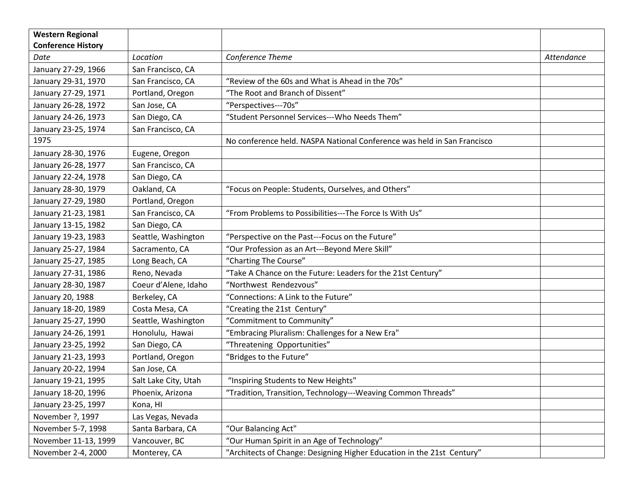| <b>Western Regional</b>   |                      |                                                                         |            |
|---------------------------|----------------------|-------------------------------------------------------------------------|------------|
| <b>Conference History</b> |                      |                                                                         |            |
| Date                      | Location             | Conference Theme                                                        | Attendance |
| January 27-29, 1966       | San Francisco, CA    |                                                                         |            |
| January 29-31, 1970       | San Francisco, CA    | "Review of the 60s and What is Ahead in the 70s"                        |            |
| January 27-29, 1971       | Portland, Oregon     | "The Root and Branch of Dissent"                                        |            |
| January 26-28, 1972       | San Jose, CA         | "Perspectives---70s"                                                    |            |
| January 24-26, 1973       | San Diego, CA        | "Student Personnel Services---Who Needs Them"                           |            |
| January 23-25, 1974       | San Francisco, CA    |                                                                         |            |
| 1975                      |                      | No conference held. NASPA National Conference was held in San Francisco |            |
| January 28-30, 1976       | Eugene, Oregon       |                                                                         |            |
| January 26-28, 1977       | San Francisco, CA    |                                                                         |            |
| January 22-24, 1978       | San Diego, CA        |                                                                         |            |
| January 28-30, 1979       | Oakland, CA          | "Focus on People: Students, Ourselves, and Others"                      |            |
| January 27-29, 1980       | Portland, Oregon     |                                                                         |            |
| January 21-23, 1981       | San Francisco, CA    | "From Problems to Possibilities---The Force Is With Us"                 |            |
| January 13-15, 1982       | San Diego, CA        |                                                                         |            |
| January 19-23, 1983       | Seattle, Washington  | "Perspective on the Past---Focus on the Future"                         |            |
| January 25-27, 1984       | Sacramento, CA       | "Our Profession as an Art---Beyond Mere Skill"                          |            |
| January 25-27, 1985       | Long Beach, CA       | "Charting The Course"                                                   |            |
| January 27-31, 1986       | Reno, Nevada         | "Take A Chance on the Future: Leaders for the 21st Century"             |            |
| January 28-30, 1987       | Coeur d'Alene, Idaho | "Northwest Rendezvous"                                                  |            |
| January 20, 1988          | Berkeley, CA         | "Connections: A Link to the Future"                                     |            |
| January 18-20, 1989       | Costa Mesa, CA       | "Creating the 21st Century"                                             |            |
| January 25-27, 1990       | Seattle, Washington  | "Commitment to Community"                                               |            |
| January 24-26, 1991       | Honolulu, Hawai      | "Embracing Pluralism: Challenges for a New Era"                         |            |
| January 23-25, 1992       | San Diego, CA        | "Threatening Opportunities"                                             |            |
| January 21-23, 1993       | Portland, Oregon     | "Bridges to the Future"                                                 |            |
| January 20-22, 1994       | San Jose, CA         |                                                                         |            |
| January 19-21, 1995       | Salt Lake City, Utah | "Inspiring Students to New Heights"                                     |            |
| January 18-20, 1996       | Phoenix, Arizona     | "Tradition, Transition, Technology---Weaving Common Threads"            |            |
| January 23-25, 1997       | Kona, HI             |                                                                         |            |
| November ?, 1997          | Las Vegas, Nevada    |                                                                         |            |
| November 5-7, 1998        | Santa Barbara, CA    | "Our Balancing Act"                                                     |            |
| November 11-13, 1999      | Vancouver, BC        | "Our Human Spirit in an Age of Technology"                              |            |
| November 2-4, 2000        | Monterey, CA         | "Architects of Change: Designing Higher Education in the 21st Century"  |            |